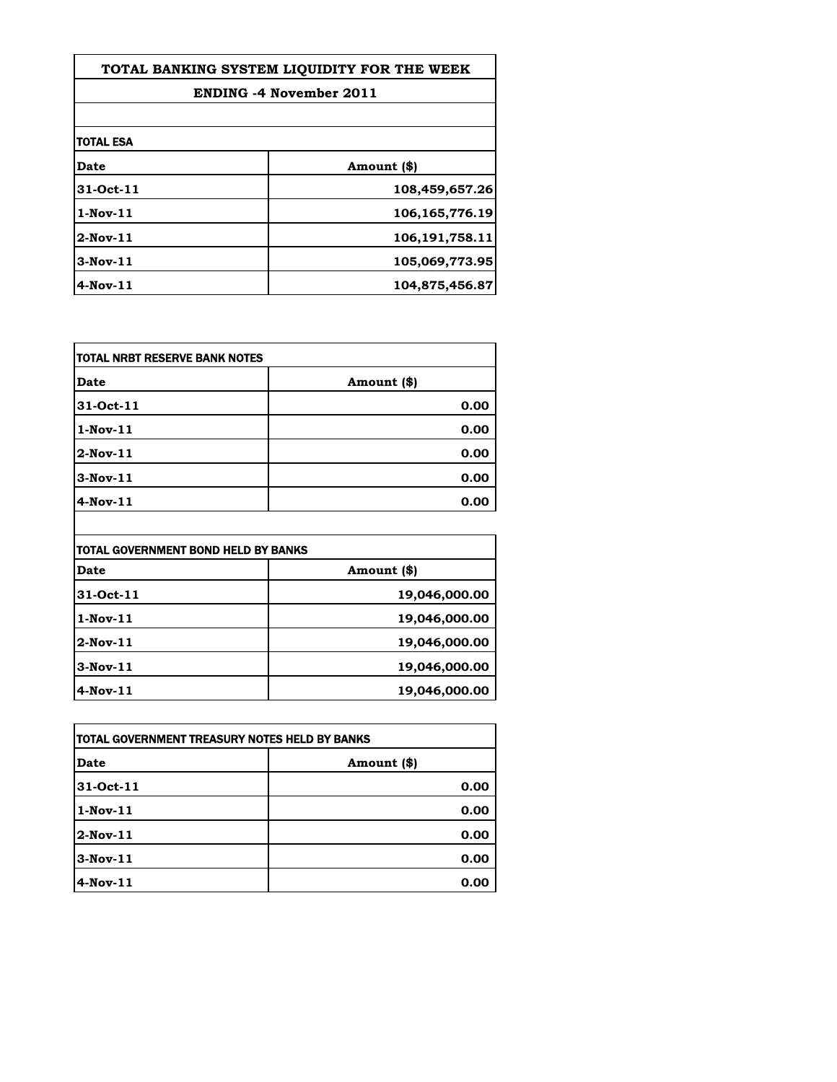| TOTAL BANKING SYSTEM LIQUIDITY FOR THE WEEK<br><b>ENDING -4 November 2011</b> |                   |
|-------------------------------------------------------------------------------|-------------------|
|                                                                               |                   |
| itotal ESA                                                                    |                   |
| Date                                                                          | Amount (\$)       |
| 31-Oct-11                                                                     | 108,459,657.26    |
| $1-Nov-11$                                                                    | 106, 165, 776. 19 |
| 2-Nov-11                                                                      | 106, 191, 758. 11 |
| 3-Nov-11                                                                      | 105,069,773.95    |
| 14-Nov-11                                                                     | 104,875,456.87    |

| TOTAL NRBT RESERVE BANK NOTES |             |
|-------------------------------|-------------|
| <b>Date</b>                   | Amount (\$) |
| 31-Oct-11                     | 0.00        |
| $1-Nov-11$                    | 0.00        |
| 2-Nov-11                      | 0.00        |
| 3-Nov-11                      | 0.00        |
| 4-Nov-11                      | 0.00        |

| TOTAL GOVERNMENT BOND HELD BY BANKS |               |
|-------------------------------------|---------------|
| <b>Date</b>                         | Amount (\$)   |
| 31-Oct-11                           | 19,046,000.00 |
| $1-Nov-11$                          | 19,046,000.00 |
| $2-Nov-11$                          | 19,046,000.00 |
| $3-Nov-11$                          | 19,046,000.00 |
| 4-Nov-11                            | 19,046,000.00 |

| TOTAL GOVERNMENT TREASURY NOTES HELD BY BANKS |             |
|-----------------------------------------------|-------------|
| Date                                          | Amount (\$) |
| 31-Oct-11                                     | 0.00        |
| $1$ -Nov-11                                   | 0.00        |
| 2-Nov-11                                      | 0.00        |
| $3-Nov-11$                                    | 0.00        |
| $4$ -Nov-11                                   | 0.00        |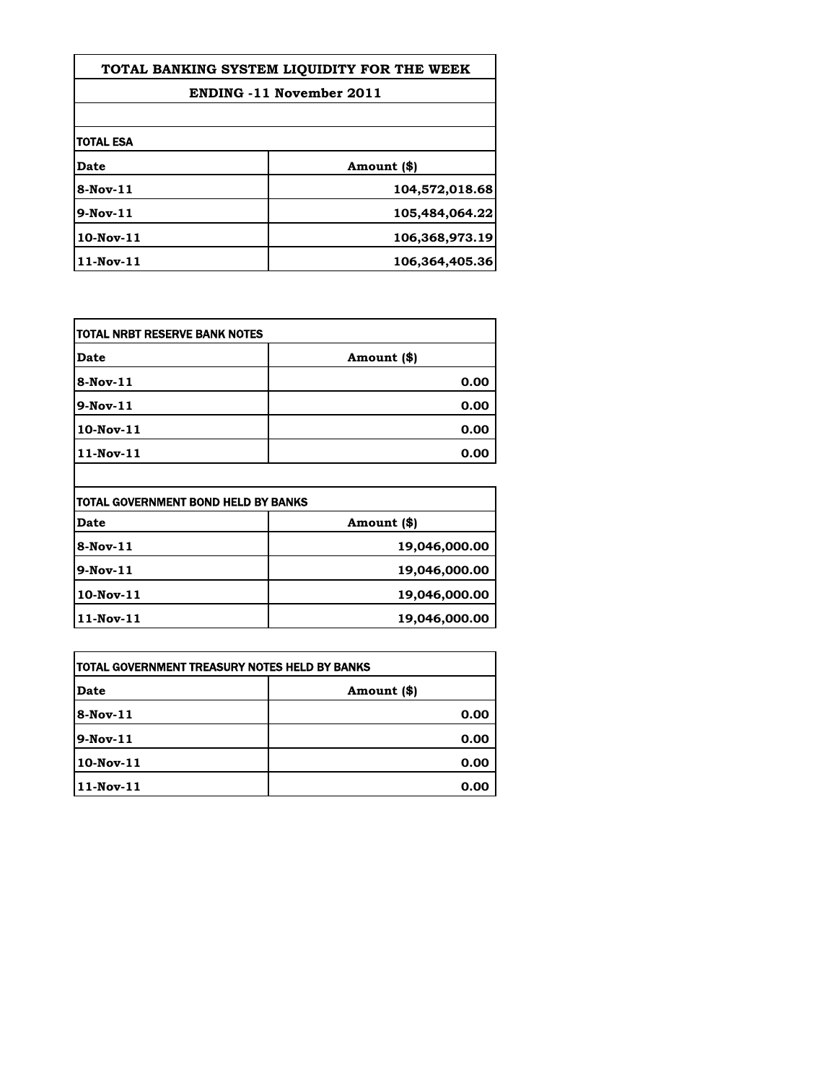| TOTAL BANKING SYSTEM LIQUIDITY FOR THE WEEK |                |
|---------------------------------------------|----------------|
| <b>ENDING -11 November 2011</b>             |                |
|                                             |                |
| <b>TOTAL ESA</b>                            |                |
| Date                                        | Amount (\$)    |
| 8-Nov-11                                    | 104,572,018.68 |
| 9-Nov-11                                    | 105,484,064.22 |
| $10-Nov-11$                                 | 106,368,973.19 |
| 11-Nov-11                                   | 106,364,405.36 |

| itotal NRBT RESERVE BANK NOTES |             |
|--------------------------------|-------------|
| Date                           | Amount (\$) |
| 8-Nov-11                       | 0.00        |
| 9-Nov-11                       | 0.00        |
| 10-Nov-11                      | 0.00        |
| 11-Nov-11                      | 0.00        |
|                                |             |

| TOTAL GOVERNMENT BOND HELD BY BANKS |               |
|-------------------------------------|---------------|
| <b>Date</b>                         | Amount (\$)   |
| 8-Nov-11                            | 19,046,000.00 |
| $9-Nov-11$                          | 19,046,000.00 |
| 10-Nov-11                           | 19,046,000.00 |
| 11-Nov-11                           | 19,046,000.00 |

| <b>TOTAL GOVERNMENT TREASURY NOTES HELD BY BANKS</b> |             |
|------------------------------------------------------|-------------|
| <b>Date</b>                                          | Amount (\$) |
| $8-Nov-11$                                           | 0.00        |
| 9-Nov-11                                             | 0.00        |
| 10-Nov-11                                            | 0.00        |
| 11-Nov-11                                            | 0.00        |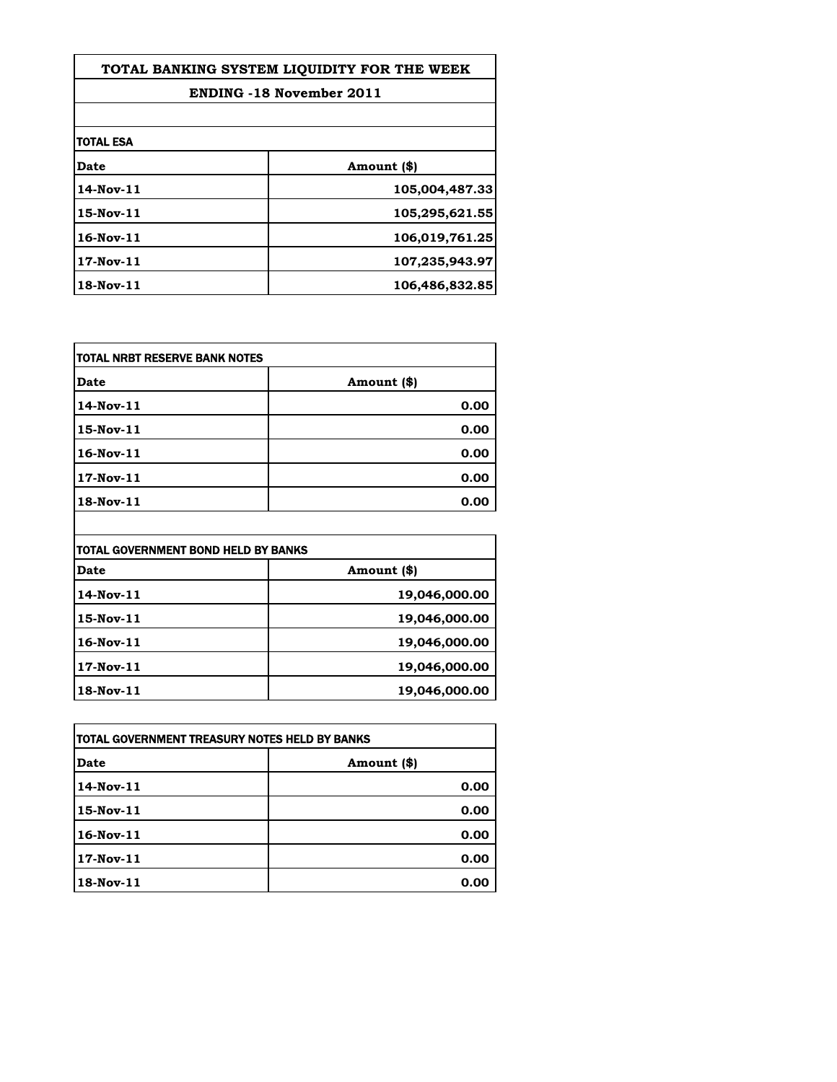| TOTAL BANKING SYSTEM LIQUIDITY FOR THE WEEK |                |
|---------------------------------------------|----------------|
| <b>ENDING -18 November 2011</b>             |                |
|                                             |                |
| itotal ESA                                  |                |
| <b>Date</b>                                 | Amount (\$)    |
| $14$ -Nov- $11$                             | 105,004,487.33 |
| 15-Nov-11                                   | 105,295,621.55 |
| 16-Nov-11                                   | 106,019,761.25 |
| 17-Nov-11                                   | 107,235,943.97 |
| 18-Nov-11                                   | 106,486,832.85 |

| TOTAL NRBT RESERVE BANK NOTES |             |
|-------------------------------|-------------|
| <b>Date</b>                   | Amount (\$) |
| 14-Nov-11                     | 0.00        |
| 15-Nov-11                     | 0.00        |
| 16-Nov-11                     | 0.00        |
| 17-Nov-11                     | 0.00        |
| 18-Nov-11                     | 0.00        |

| TOTAL GOVERNMENT BOND HELD BY BANKS |               |
|-------------------------------------|---------------|
| <b>Date</b>                         | Amount (\$)   |
| 14-Nov-11                           | 19,046,000.00 |
| 15-Nov-11                           | 19,046,000.00 |
| 16-Nov-11                           | 19,046,000.00 |
| 17-Nov-11                           | 19,046,000.00 |
| 18-Nov-11                           | 19,046,000.00 |

| ITOTAL GOVERNMENT TREASURY NOTES HELD BY BANKS |             |
|------------------------------------------------|-------------|
| Date                                           | Amount (\$) |
| 14-Nov-11                                      | 0.00        |
| $15-Nov-11$                                    | 0.00        |
| $16$ -Nov- $11$                                | 0.00        |
| 17-Nov-11                                      | 0.00        |
| $18-Nov-11$                                    | 0.00        |